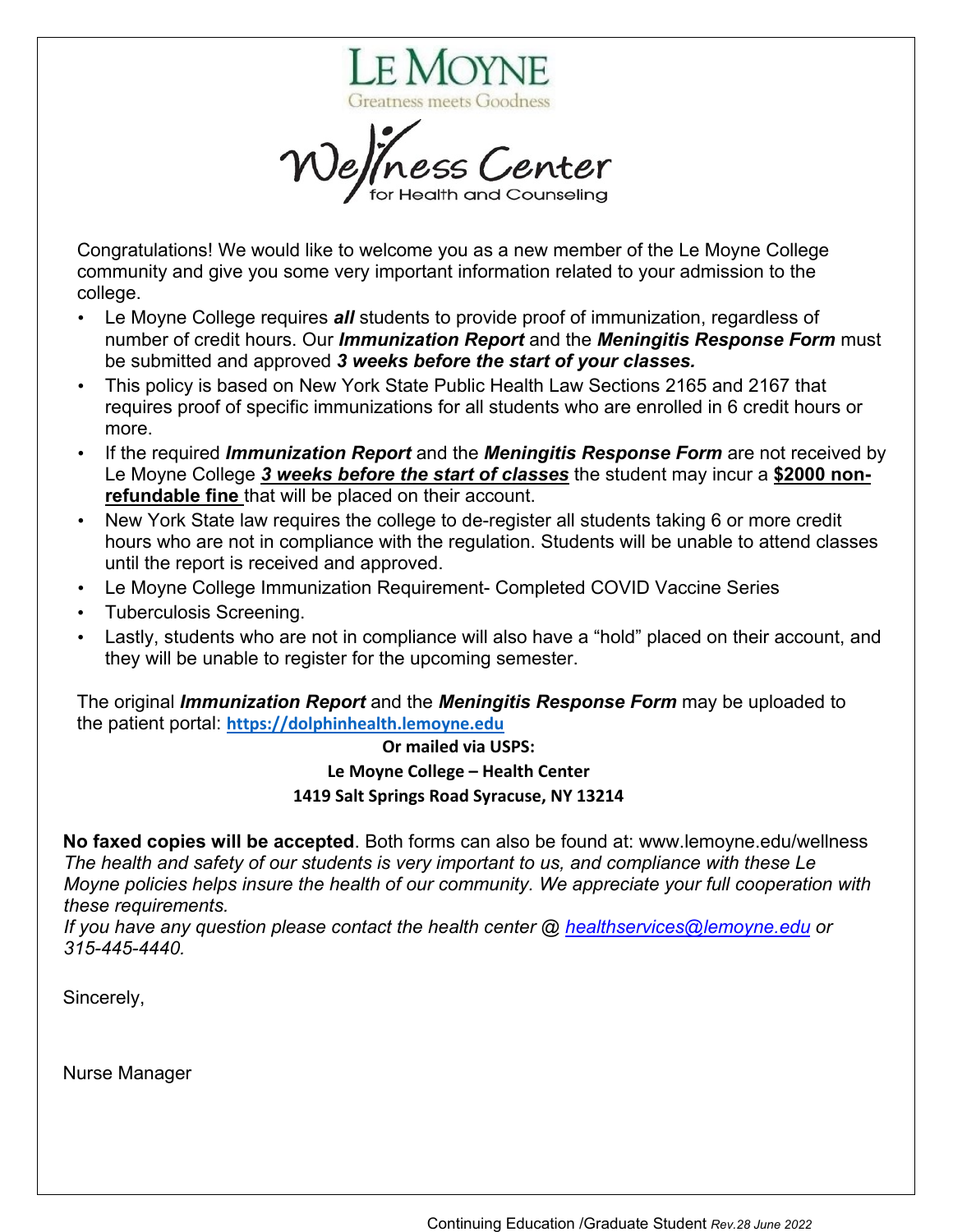

Congratulations! We would like to welcome you as a new member of the Le Moyne College community and give you some very important information related to your admission to the college.

- Le Moyne College requires *all* students to provide proof of immunization, regardless of number of credit hours. Our *Immunization Report* and the *Meningitis Response Form* must be submitted and approved *3 weeks before the start of your classes.*
- This policy is based on New York State Public Health Law Sections 2165 and 2167 that requires proof of specific immunizations for all students who are enrolled in 6 credit hours or more.
- If the required *Immunization Report* and the *Meningitis Response Form* are not received by Le Moyne College *3 weeks before the start of classes* the student may incur a **\$2000 nonrefundable fine** that will be placed on their account.
- New York State law requires the college to de-register all students taking 6 or more credit hours who are not in compliance with the regulation. Students will be unable to attend classes until the report is received and approved.
- Le Moyne College Immunization Requirement- Completed COVID Vaccine Series
- Tuberculosis Screening.
- Lastly, students who are not in compliance will also have a "hold" placed on their account, and they will be unable to register for the upcoming semester.

The original *Immunization Report* and the *Meningitis Response Form* may be uploaded to the patient portal: **[https://dolphinhealth.lemoyne.edu](https://dolphinhealth.lemoyne.edu/)**

## **Or mailed via USPS: Le Moyne College – Health Center 1419 Salt Springs Road Syracuse, NY 13214**

**No faxed copies will be accepted**. Both forms can also be found at: www.lemoyne.edu/wellness *The health and safety of our students is very important to us, and compliance with these Le Moyne policies helps insure the health of our community. We appreciate your full cooperation with these requirements.* 

*If you have any question please contact the health center @ [healthservices@lemoyne.edu](mailto:healthservices@lemoyne.edu) or 315-445-4440.*

Sincerely,

Nurse Manager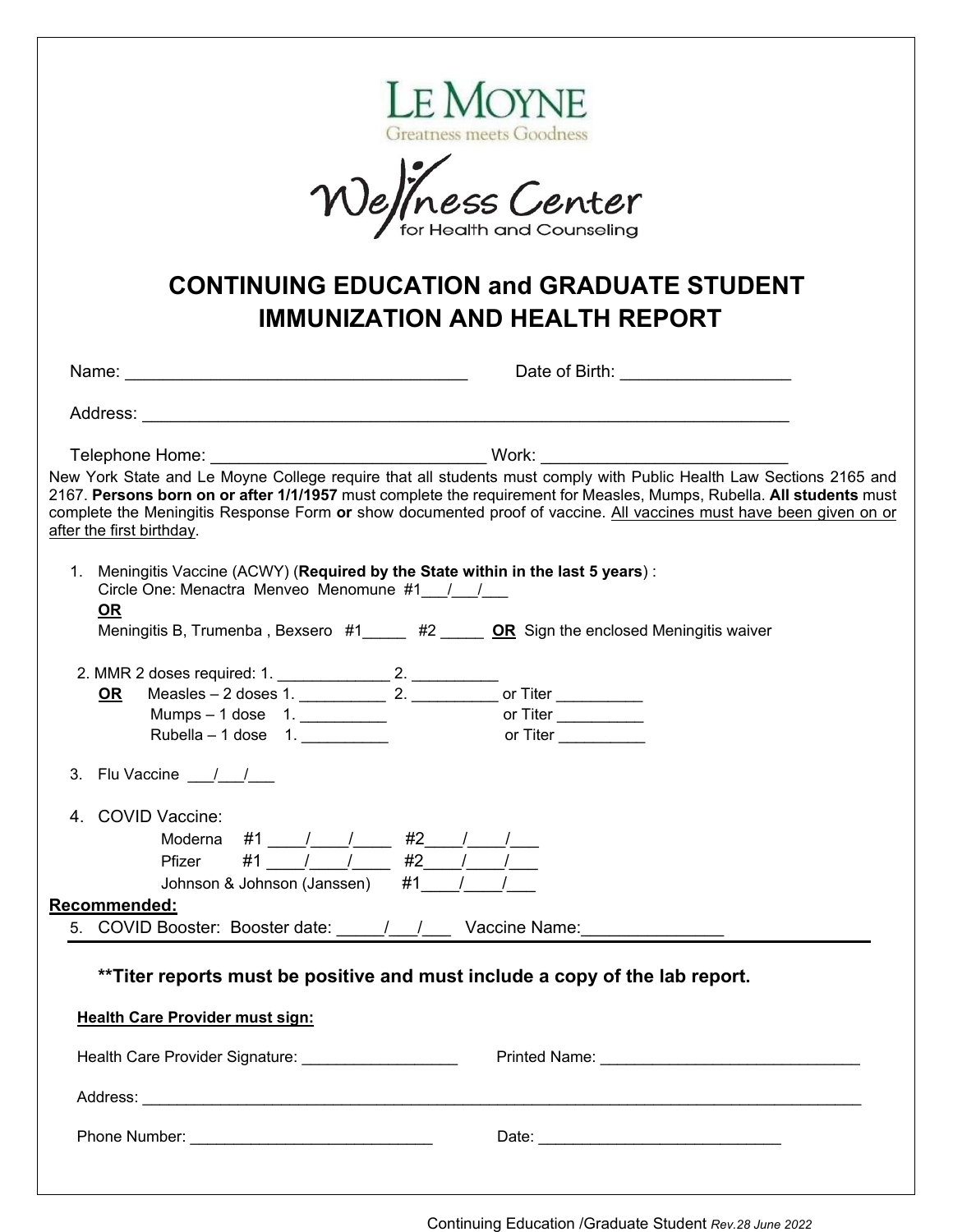| LE MOYNE<br><b>Greatness meets Goodness</b><br>Wellness Center                                                                                                                                                                                                  |                                                                                                                                                                                                                                                                                                                                                                                                                                                        |  |
|-----------------------------------------------------------------------------------------------------------------------------------------------------------------------------------------------------------------------------------------------------------------|--------------------------------------------------------------------------------------------------------------------------------------------------------------------------------------------------------------------------------------------------------------------------------------------------------------------------------------------------------------------------------------------------------------------------------------------------------|--|
| <b>CONTINUING EDUCATION and GRADUATE STUDENT</b><br><b>IMMUNIZATION AND HEALTH REPORT</b>                                                                                                                                                                       |                                                                                                                                                                                                                                                                                                                                                                                                                                                        |  |
|                                                                                                                                                                                                                                                                 | Date of Birth: ____________________                                                                                                                                                                                                                                                                                                                                                                                                                    |  |
|                                                                                                                                                                                                                                                                 |                                                                                                                                                                                                                                                                                                                                                                                                                                                        |  |
|                                                                                                                                                                                                                                                                 |                                                                                                                                                                                                                                                                                                                                                                                                                                                        |  |
| after the first birthday.                                                                                                                                                                                                                                       | Telephone Home: _________________________________Work: ___________________________<br>New York State and Le Moyne College require that all students must comply with Public Health Law Sections 2165 and<br>2167. Persons born on or after 1/1/1957 must complete the requirement for Measles, Mumps, Rubella. All students must<br>complete the Meningitis Response Form or show documented proof of vaccine. All vaccines must have been given on or |  |
| 1. Meningitis Vaccine (ACWY) (Required by the State within in the last 5 years) :<br>Circle One: Menactra Menveo Menomune #1 / /<br><b>OR</b><br>Meningitis B, Trumenba, Bexsero $#1$ $#2$ $#2$ OR Sign the enclosed Meningitis waiver<br>Rubella – 1 dose $1.$ | or Titer <b>Allen Contracts</b>                                                                                                                                                                                                                                                                                                                                                                                                                        |  |
| 3. Flu Vaccine $\frac{1}{\sqrt{2}}$                                                                                                                                                                                                                             |                                                                                                                                                                                                                                                                                                                                                                                                                                                        |  |
| 4. COVID Vaccine:<br>Moderna #1 $\frac{1}{\sqrt{2}}$ #2 $\frac{1}{\sqrt{2}}$<br>Pfizer #1 $\frac{1}{\sqrt{2}}$ #2 $\frac{1}{\sqrt{2}}$<br>Johnson & Johnson (Janssen) #1___/___/<br>Recommended:                                                                |                                                                                                                                                                                                                                                                                                                                                                                                                                                        |  |
| 5. COVID Booster: Booster date: 1. 1. Vaccine Name:                                                                                                                                                                                                             |                                                                                                                                                                                                                                                                                                                                                                                                                                                        |  |
| **Titer reports must be positive and must include a copy of the lab report.                                                                                                                                                                                     |                                                                                                                                                                                                                                                                                                                                                                                                                                                        |  |
| <b>Health Care Provider must sign:</b>                                                                                                                                                                                                                          |                                                                                                                                                                                                                                                                                                                                                                                                                                                        |  |
| Health Care Provider Signature: _____________________                                                                                                                                                                                                           |                                                                                                                                                                                                                                                                                                                                                                                                                                                        |  |
|                                                                                                                                                                                                                                                                 |                                                                                                                                                                                                                                                                                                                                                                                                                                                        |  |
|                                                                                                                                                                                                                                                                 |                                                                                                                                                                                                                                                                                                                                                                                                                                                        |  |